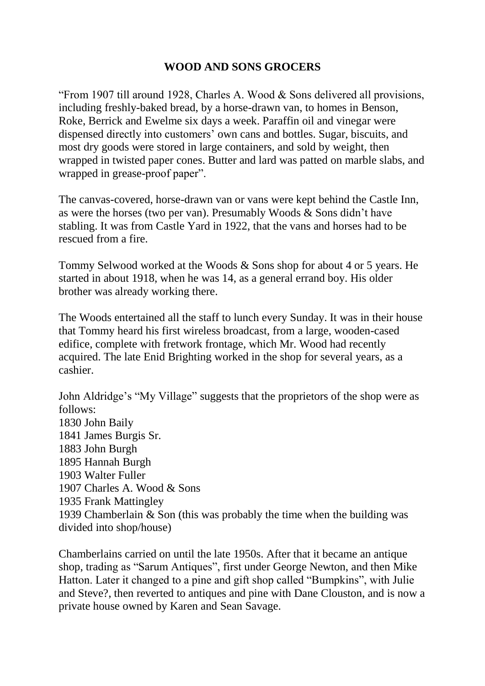## **WOOD AND SONS GROCERS**

"From 1907 till around 1928, Charles A. Wood & Sons delivered all provisions, including freshly-baked bread, by a horse-drawn van, to homes in Benson, Roke, Berrick and Ewelme six days a week. Paraffin oil and vinegar were dispensed directly into customers' own cans and bottles. Sugar, biscuits, and most dry goods were stored in large containers, and sold by weight, then wrapped in twisted paper cones. Butter and lard was patted on marble slabs, and wrapped in grease-proof paper".

The canvas-covered, horse-drawn van or vans were kept behind the Castle Inn, as were the horses (two per van). Presumably Woods & Sons didn't have stabling. It was from Castle Yard in 1922, that the vans and horses had to be rescued from a fire.

Tommy Selwood worked at the Woods & Sons shop for about 4 or 5 years. He started in about 1918, when he was 14, as a general errand boy. His older brother was already working there.

The Woods entertained all the staff to lunch every Sunday. It was in their house that Tommy heard his first wireless broadcast, from a large, wooden-cased edifice, complete with fretwork frontage, which Mr. Wood had recently acquired. The late Enid Brighting worked in the shop for several years, as a cashier.

John Aldridge's "My Village" suggests that the proprietors of the shop were as follows: 1830 John Baily 1841 James Burgis Sr. 1883 John Burgh 1895 Hannah Burgh 1903 Walter Fuller 1907 Charles A. Wood & Sons 1935 Frank Mattingley 1939 Chamberlain & Son (this was probably the time when the building was divided into shop/house)

Chamberlains carried on until the late 1950s. After that it became an antique shop, trading as "Sarum Antiques", first under George Newton, and then Mike Hatton. Later it changed to a pine and gift shop called "Bumpkins", with Julie and Steve?, then reverted to antiques and pine with Dane Clouston, and is now a private house owned by Karen and Sean Savage.